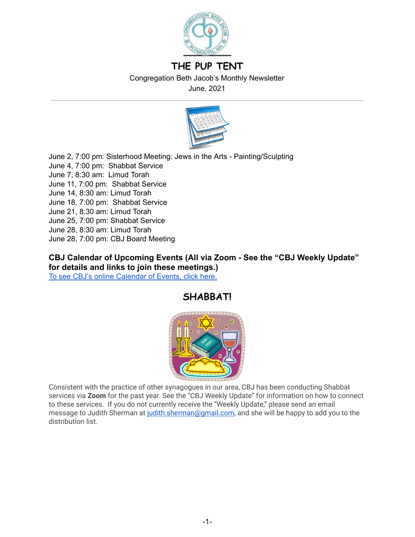

# **THE PUP TENT**

Congregation Beth Jacob's Monthly Newsletter

June, 2021



June 2, 7:00 pm: Sisterhood Meeting: Jews in the Arts - Painting/Sculpting June 4, 7:00 pm: Shabbat Service June 7, 8:30 am: Limud Torah June 11, 7:00 pm: Shabbat Service June 14, 8:30 am: Limud Torah June 18, 7:00 pm: Shabbat Service June 21, 8:30 am: Limud Torah June 25, 7:00 pm: Shabbat Service June 28, 8:30 am: Limud Torah June 28, 7:00 pm: CBJ Board Meeting

**CBJ Calendar of Upcoming Events (All via Zoom - See the "CBJ Weekly Update" for details and links to join these meetings.)**  To see CBJ's online [Calendar](http://cbjplymouth.org/) of Events, click here.

# **SHABBAT!**



Consistent with the practice of other synagogues in our area, CBJ has been conducting Shabbat services via **Zoom** for the past year. See the "CBJ Weekly Update" for information on how to connect to these services. If you do not currently receive the "Weekly Update," please send an email message to Judith Sherman at judith.sherman@gmail.com, and she will be happy to add you to the distribution list.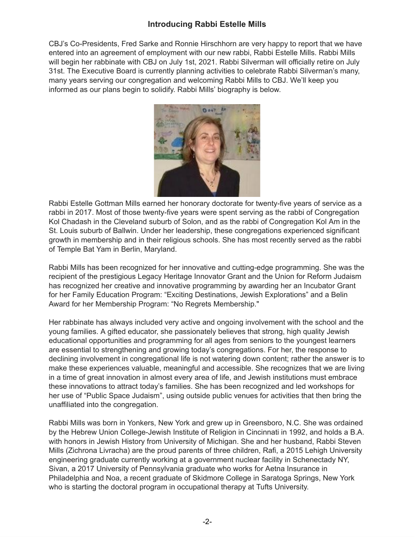### **Introducing Rabbi Estelle Mills**

CBJ's Co-Presidents, Fred Sarke and Ronnie Hirschhorn are very happy to report that we have entered into an agreement of employment with our new rabbi, Rabbi Estelle Mills. Rabbi Mills will begin her rabbinate with CBJ on July 1st, 2021. Rabbi Silverman will officially retire on July 31st. The Executive Board is currently planning activities to celebrate Rabbi Silverman's many, many years serving our congregation and welcoming Rabbi Mills to CBJ. We'll keep you informed as our plans begin to solidify. Rabbi Mills' biography is below.



Rabbi Estelle Gottman Mills earned her honorary doctorate for twenty-five years of service as a rabbi in 2017. Most of those twenty-five years were spent serving as the rabbi of Congregation Kol Chadash in the Cleveland suburb of Solon, and as the rabbi of Congregation Kol Am in the St. Louis suburb of Ballwin. Under her leadership, these congregations experienced significant growth in membership and in their religious schools. She has most recently served as the rabbi of Temple Bat Yam in Berlin, Maryland.

Rabbi Mills has been recognized for her innovative and cutting-edge programming. She was the recipient of the prestigious Legacy Heritage Innovator Grant and the Union for Reform Judaism has recognized her creative and innovative programming by awarding her an Incubator Grant for her Family Education Program: "Exciting Destinations, Jewish Explorations" and a Belin Award for her Membership Program: "No Regrets Membership."

Her rabbinate has always included very active and ongoing involvement with the school and the young families. A gifted educator, she passionately believes that strong, high quality Jewish educational opportunities and programming for all ages from seniors to the youngest learners are essential to strengthening and growing today's congregations. For her, the response to declining involvement in congregational life is not watering down content; rather the answer is to make these experiences valuable, meaningful and accessible. She recognizes that we are living in a time of great innovation in almost every area of life, and Jewish institutions must embrace these innovations to attract today's families. She has been recognized and led workshops for her use of "Public Space Judaism", using outside public venues for activities that then bring the unaffiliated into the congregation.

Rabbi Mills was born in Yonkers, New York and grew up in Greensboro, N.C. She was ordained by the Hebrew Union College-Jewish Institute of Religion in Cincinnati in 1992, and holds a B.A. with honors in Jewish History from University of Michigan. She and her husband, Rabbi Steven Mills (Zichrona Livracha) are the proud parents of three children, Rafi, a 2015 Lehigh University engineering graduate currently working at a government nuclear facility in Schenectady NY, Sivan, a 2017 University of Pennsylvania graduate who works for Aetna Insurance in Philadelphia and Noa, a recent graduate of Skidmore College in Saratoga Springs, New York who is starting the doctoral program in occupational therapy at Tufts University.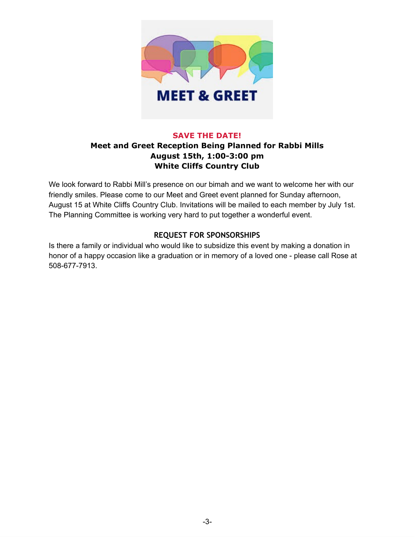

#### **SAVE THE DATE!**

## **Meet and Greet Reception Being Planned for Rabbi Mills August 15th, 1:00-3:00 pm White Cliffs Country Club**

We look forward to Rabbi Mill's presence on our bimah and we want to welcome her with our friendly smiles. Please come to our Meet and Greet event planned for Sunday afternoon, August 15 at White Cliffs Country Club. Invitations will be mailed to each member by July 1st. The Planning Committee is working very hard to put together a wonderful event.

### **REQUEST FOR SPONSORSHIPS**

Is there a family or individual who would like to subsidize this event by making a donation in honor of a happy occasion like a graduation or in memory of a loved one - please call Rose at 508-677-7913.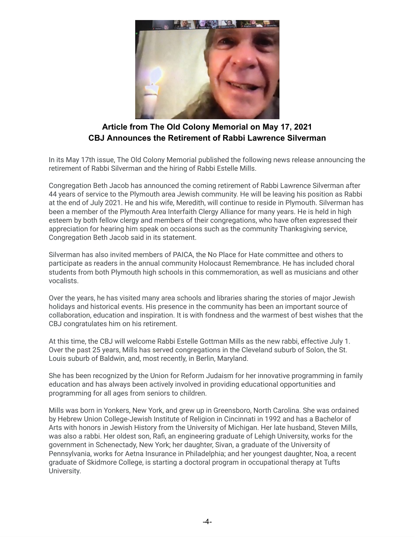

## **Article from The Old Colony Memorial on May 17, 2021 CBJ Announces the Retirement of Rabbi Lawrence Silverman**

In its May 17th issue, The Old Colony Memorial published the following news release announcing the retirement of Rabbi Silverman and the hiring of Rabbi Estelle Mills.

Congregation Beth Jacob has announced the coming retirement of Rabbi Lawrence Silverman after 44 years of service to the Plymouth area Jewish community. He will be leaving his position as Rabbi at the end of July 2021. He and his wife, Meredith, will continue to reside in Plymouth. Silverman has been a member of the Plymouth Area Interfaith Clergy Alliance for many years. He is held in high esteem by both fellow clergy and members of their congregations, who have often expressed their appreciation for hearing him speak on occasions such as the community Thanksgiving service, Congregation Beth Jacob said in its statement.

Silverman has also invited members of PAICA, the No Place for Hate committee and others to participate as readers in the annual community Holocaust Remembrance. He has included choral students from both Plymouth high schools in this commemoration, as well as musicians and other vocalists.

Over the years, he has visited many area schools and libraries sharing the stories of major Jewish holidays and historical events. His presence in the community has been an important source of collaboration, education and inspiration. It is with fondness and the warmest of best wishes that the CBJ congratulates him on his retirement.

At this time, the CBJ will welcome Rabbi Estelle Gottman Mills as the new rabbi, effective July 1. Over the past 25 years, Mills has served congregations in the Cleveland suburb of Solon, the St. Louis suburb of Baldwin, and, most recently, in Berlin, Maryland.

She has been recognized by the Union for Reform Judaism for her innovative programming in family education and has always been actively involved in providing educational opportunities and programming for all ages from seniors to children.

Mills was born in Yonkers, New York, and grew up in Greensboro, North Carolina. She was ordained by Hebrew Union College-Jewish Institute of Religion in Cincinnati in 1992 and has a Bachelor of Arts with honors in Jewish History from the University of Michigan. Her late husband, Steven Mills, was also a rabbi. Her oldest son, Rafi, an engineering graduate of Lehigh University, works for the government in Schenectady, New York; her daughter, Sivan, a graduate of the University of Pennsylvania, works for Aetna Insurance in Philadelphia; and her youngest daughter, Noa, a recent graduate of Skidmore College, is starting a doctoral program in occupational therapy at Tufts University.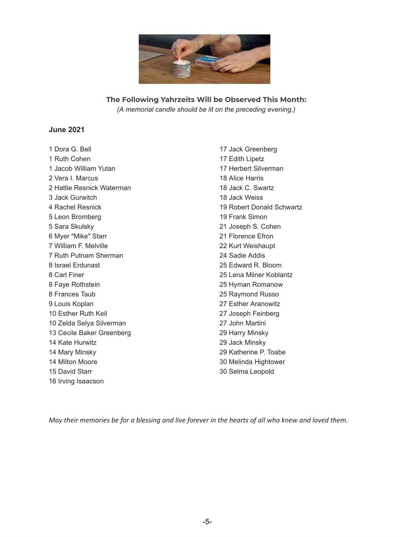

**The Following Yahrzeits Will be Observed This Month:** *(A memorial candle should be lit on the preceding evening.)*

#### **June 2021**

 Dora G. Bell Ruth Cohen Jacob William Yutan Vera I. Marcus Hattie Resnick Waterman Jack Gurwitch Rachel Resnick Leon Bromberg Sara Skulsky Myer "Mike" Starr William F. Melville Ruth Putnam Sherman Israel Erdunast Carl Finer Faye Rothstein Frances Taub Louis Koplan Esther Ruth Keil Zelda Selya Silverman Cecile Baker Greenberg Kate Hurwitz Mary Minsky Milton Moore David Starr Irving Isaacson

 Jack Greenberg Edith Lipetz Herbert Silverman Alice Harris Jack C. Swartz Jack Weiss Robert Donald Schwartz Frank Simon Joseph S. Cohen Florence Efron Kurt Weishaupt Sadie Addis Edward R. Bloom Lena Milner Koblantz Hyman Romanow Raymond Russo Esther Aranowitz Joseph Feinberg John Martini Harry Minsky Jack Minsky Katherine P. Toabe Melinda Hightower Selma Leopold

May their memories be for a blessing and live forever in the hearts of all who knew and loved them.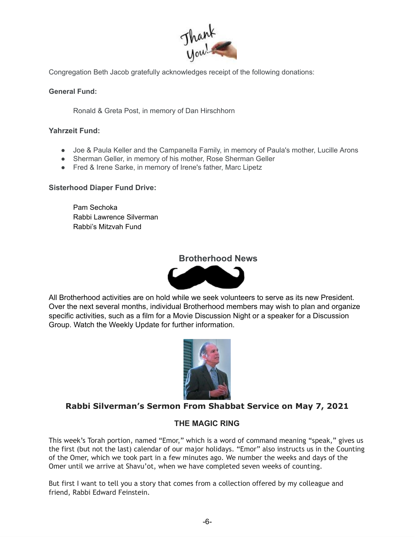

Congregation Beth Jacob gratefully acknowledges receipt of the following donations:

**General Fund:** 

Ronald & Greta Post, in memory of Dan Hirschhorn

**Yahrzeit Fund:**

- Joe & Paula Keller and the Campanella Family, in memory of Paula's mother, Lucille Arons
- Sherman Geller, in memory of his mother, Rose Sherman Geller
- Fred & Irene Sarke, in memory of Irene's father, Marc Lipetz

#### **Sisterhood Diaper Fund Drive:**

Pam Sechoka Rabbi Lawrence Silverman Rabbi's Mitzvah Fund

### **Brotherhood News**



All Brotherhood activities are on hold while we seek volunteers to serve as its new President. Over the next several months, individual Brotherhood members may wish to plan and organize specific activities, such as a film for a Movie Discussion Night or a speaker for a Discussion Group. Watch the Weekly Update for further information.



## **Rabbi Silverman's Sermon From Shabbat Service on May 7, 2021**

### **THE MAGIC RING**

This week's Torah portion, named "Emor," which is a word of command meaning "speak," gives us the first (but not the last) calendar of our major holidays. "Emor" also instructs us in the Counting of the Omer, which we took part in a few minutes ago. We number the weeks and days of the Omer until we arrive at Shavu'ot, when we have completed seven weeks of counting.

But first I want to tell you a story that comes from a collection offered by my colleague and friend, Rabbi Edward Feinstein.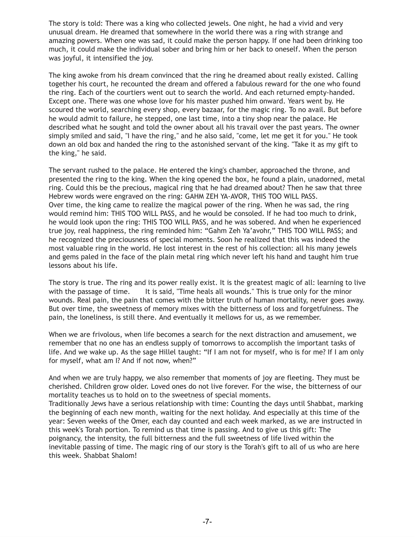The story is told: There was a king who collected jewels. One night, he had a vivid and very unusual dream. He dreamed that somewhere in the world there was a ring with strange and amazing powers. When one was sad, it could make the person happy. If one had been drinking too much, it could make the individual sober and bring him or her back to oneself. When the person was joyful, it intensified the joy.

The king awoke from his dream convinced that the ring he dreamed about really existed. Calling together his court, he recounted the dream and offered a fabulous reward for the one who found the ring. Each of the courtiers went out to search the world. And each returned empty-handed. Except one. There was one whose love for his master pushed him onward. Years went by. He scoured the world, searching every shop, every bazaar, for the magic ring. To no avail. But before he would admit to failure, he stepped, one last time, into a tiny shop near the palace. He described what he sought and told the owner about all his travail over the past years. The owner simply smiled and said, "I have the ring," and he also said, "come, let me get it for you." He took down an old box and handed the ring to the astonished servant of the king. "Take it as my gift to the king," he said.

The servant rushed to the palace. He entered the king's chamber, approached the throne, and presented the ring to the king. When the king opened the box, he found a plain, unadorned, metal ring. Could this be the precious, magical ring that he had dreamed about? Then he saw that three Hebrew words were engraved on the ring: GAHM ZEH YA-AVOR, THIS TOO WILL PASS. Over time, the king came to realize the magical power of the ring. When he was sad, the ring would remind him: THIS TOO WILL PASS, and he would be consoled. If he had too much to drink, he would look upon the ring: THIS TOO WILL PASS, and he was sobered. And when he experienced true joy, real happiness, the ring reminded him: "Gahm Zeh Ya'avohr," THIS TOO WILL PASS; and he recognized the preciousness of special moments. Soon he realized that this was indeed the most valuable ring in the world. He lost interest in the rest of his collection: all his many jewels and gems paled in the face of the plain metal ring which never left his hand and taught him true lessons about his life.

The story is true. The ring and its power really exist. It is the greatest magic of all: learning to live with the passage of time. It is said, "Time heals all wounds." This is true only for the minor wounds. Real pain, the pain that comes with the bitter truth of human mortality, never goes away. But over time, the sweetness of memory mixes with the bitterness of loss and forgetfulness. The pain, the loneliness, is still there. And eventually it mellows for us, as we remember.

When we are frivolous, when life becomes a search for the next distraction and amusement, we remember that no one has an endless supply of tomorrows to accomplish the important tasks of life. And we wake up. As the sage Hillel taught: "If I am not for myself, who is for me? If I am only for myself, what am I? And if not now, when?"

And when we are truly happy, we also remember that moments of joy are fleeting. They must be cherished. Children grow older. Loved ones do not live forever. For the wise, the bitterness of our mortality teaches us to hold on to the sweetness of special moments.

Traditionally Jews have a serious relationship with time: Counting the days until Shabbat, marking the beginning of each new month, waiting for the next holiday. And especially at this time of the year: Seven weeks of the Omer, each day counted and each week marked, as we are instructed in this week's Torah portion. To remind us that time is passing. And to give us this gift: The poignancy, the intensity, the full bitterness and the full sweetness of life lived within the inevitable passing of time. The magic ring of our story is the Torah's gift to all of us who are here this week. Shabbat Shalom!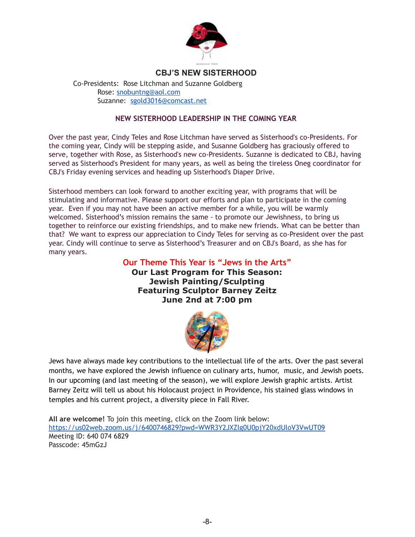

### **CBJ'S NEW SISTERHOOD**

Co-Presidents: Rose Litchman and Suzanne Goldberg Rose: [snobuntng@aol.com](mailto:snobuntng@aol.com) Suzanne: sgold3016@comcast.net

#### **NEW SISTERHOOD LEADERSHIP IN THE COMING YEAR**

Over the past year, Cindy Teles and Rose Litchman have served as Sisterhood's co-Presidents. For the coming year, Cindy will be stepping aside, and Susanne Goldberg has graciously offered to serve, together with Rose, as Sisterhood's new co-Presidents. Suzanne is dedicated to CBJ, having served as Sisterhood's President for many years, as well as being the tireless Oneg coordinator for CBJ's Friday evening services and heading up Sisterhood's Diaper Drive.

Sisterhood members can look forward to another exciting year, with programs that will be stimulating and informative. Please support our efforts and plan to participate in the coming year. Even if you may not have been an active member for a while, you will be warmly welcomed. Sisterhood's mission remains the same - to promote our Jewishness, to bring us together to reinforce our existing friendships, and to make new friends. What can be better than that? We want to express our appreciation to Cindy Teles for serving as co-President over the past year. Cindy will continue to serve as Sisterhood's Treasurer and on CBJ's Board, as she has for many years.

> **Our Theme This Year is "Jews in the Arts" Our Last Program for This Season: Jewish Painting/Sculpting Featuring Sculptor Barney Zeitz June 2nd at 7:00 pm**



Jews have always made key contributions to the intellectual life of the arts. Over the past several months, we have explored the Jewish influence on culinary arts, humor, music, and Jewish poets. In our upcoming (and last meeting of the season), we will explore Jewish graphic artists. Artist Barney Zeitz will tell us about his Holocaust project in Providence, his stained glass windows in temples and his current project, a diversity piece in Fall River.

**All are welcome!** To join this meeting, click on the Zoom link below: <https://us02web.zoom.us/j/6400746829?pwd=WWR3Y2JXZlg0U0pjY20xdUloV3VwUT09> Meeting ID: 640 074 6829 Passcode: 45mGzJ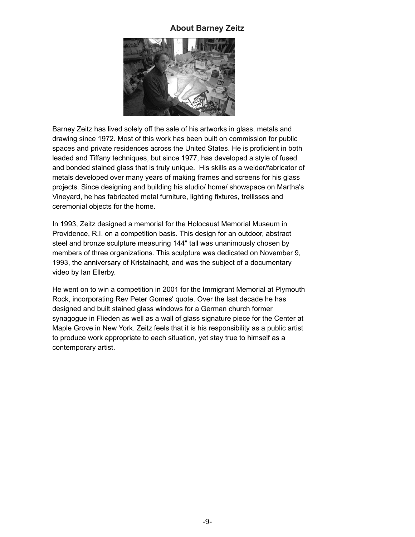#### **About Barney Zeitz**



Barney Zeitz has lived solely off the sale of his artworks in glass, metals and drawing since 1972. Most of this work has been built on commission for public spaces and private residences across the United States. He is proficient in both leaded and Tiffany techniques, but since 1977, has developed a style of fused and bonded stained glass that is truly unique. His skills as a welder/fabricator of metals developed over many years of making frames and screens for his glass projects. Since designing and building his studio/ home/ showspace on Martha's Vineyard, he has fabricated metal furniture, lighting fixtures, trellisses and ceremonial objects for the home.

In 1993, Zeitz designed a memorial for the Holocaust Memorial Museum in Providence, R.I. on a competition basis. This design for an outdoor, abstract steel and bronze sculpture measuring 144" tall was unanimously chosen by members of three organizations. This sculpture was dedicated on November 9, 1993, the anniversary of Kristalnacht, and was the subject of a documentary video by Ian Ellerby.

He went on to win a competition in 2001 for the Immigrant Memorial at Plymouth Rock, incorporating Rev Peter Gomes' quote. Over the last decade he has designed and built stained glass windows for a German church former synagogue in Flieden as well as a wall of glass signature piece for the Center at Maple Grove in New York. Zeitz feels that it is his responsibility as a public artist to produce work appropriate to each situation, yet stay true to himself as a contemporary artist.